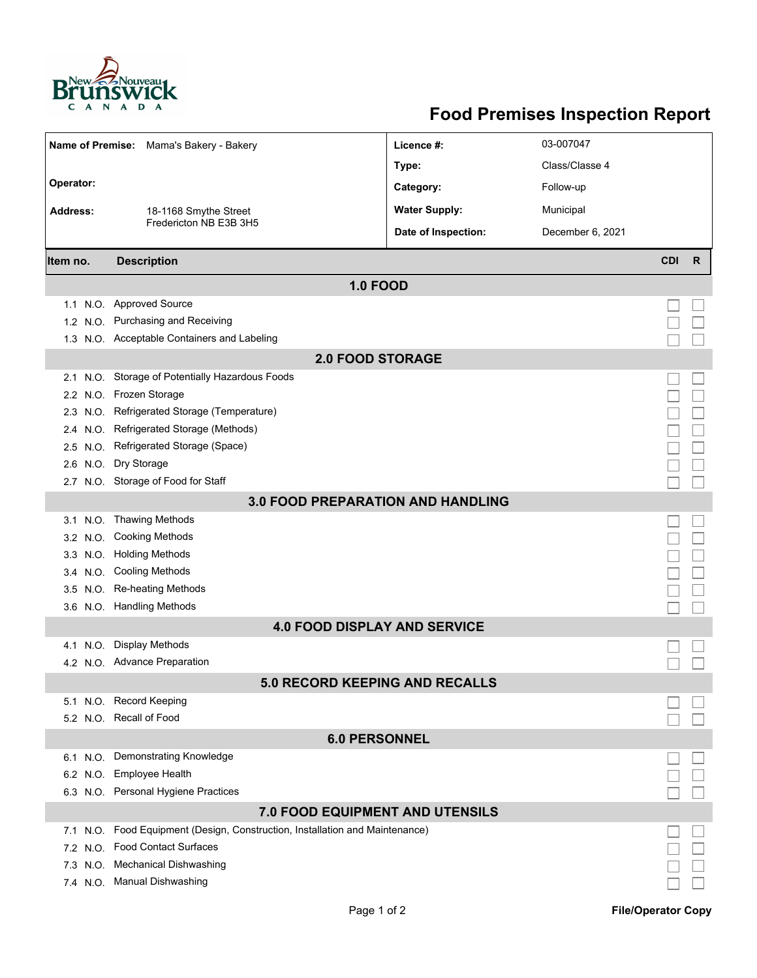

## **Food Premises Inspection Report**

|                                          | Name of Premise: Mama's Bakery - Bakery                                  | Licence #:           | 03-007047        |                 |  |  |  |
|------------------------------------------|--------------------------------------------------------------------------|----------------------|------------------|-----------------|--|--|--|
|                                          |                                                                          | Type:                | Class/Classe 4   |                 |  |  |  |
| Operator:                                |                                                                          | Category:            | Follow-up        |                 |  |  |  |
| <b>Address:</b>                          | 18-1168 Smythe Street                                                    | <b>Water Supply:</b> | Municipal        |                 |  |  |  |
|                                          | Fredericton NB E3B 3H5                                                   | Date of Inspection:  | December 6, 2021 |                 |  |  |  |
|                                          |                                                                          |                      |                  |                 |  |  |  |
| Item no.                                 | <b>Description</b>                                                       |                      |                  | <b>CDI</b><br>R |  |  |  |
|                                          | <b>1.0 FOOD</b>                                                          |                      |                  |                 |  |  |  |
| 1.1                                      | N.O. Approved Source                                                     |                      |                  |                 |  |  |  |
|                                          | 1.2 N.O. Purchasing and Receiving                                        |                      |                  |                 |  |  |  |
|                                          | 1.3 N.O. Acceptable Containers and Labeling                              |                      |                  |                 |  |  |  |
| <b>2.0 FOOD STORAGE</b>                  |                                                                          |                      |                  |                 |  |  |  |
|                                          | 2.1 N.O. Storage of Potentially Hazardous Foods                          |                      |                  |                 |  |  |  |
|                                          | 2.2 N.O. Frozen Storage                                                  |                      |                  |                 |  |  |  |
|                                          | 2.3 N.O. Refrigerated Storage (Temperature)                              |                      |                  |                 |  |  |  |
| N.O.<br>2.4                              | Refrigerated Storage (Methods)                                           |                      |                  |                 |  |  |  |
| N.O.<br>2.5                              | Refrigerated Storage (Space)                                             |                      |                  |                 |  |  |  |
|                                          | 2.6 N.O. Dry Storage                                                     |                      |                  |                 |  |  |  |
|                                          | 2.7 N.O. Storage of Food for Staff                                       |                      |                  |                 |  |  |  |
| <b>3.0 FOOD PREPARATION AND HANDLING</b> |                                                                          |                      |                  |                 |  |  |  |
|                                          | 3.1 N.O. Thawing Methods                                                 |                      |                  |                 |  |  |  |
|                                          | 3.2 N.O. Cooking Methods                                                 |                      |                  |                 |  |  |  |
|                                          | 3.3 N.O. Holding Methods                                                 |                      |                  |                 |  |  |  |
|                                          | 3.4 N.O. Cooling Methods                                                 |                      |                  |                 |  |  |  |
|                                          | 3.5 N.O. Re-heating Methods                                              |                      |                  |                 |  |  |  |
|                                          | 3.6 N.O. Handling Methods                                                |                      |                  |                 |  |  |  |
| <b>4.0 FOOD DISPLAY AND SERVICE</b>      |                                                                          |                      |                  |                 |  |  |  |
| N.O.<br>4.1                              | <b>Display Methods</b>                                                   |                      |                  |                 |  |  |  |
|                                          | 4.2 N.O. Advance Preparation                                             |                      |                  |                 |  |  |  |
| 5.0 RECORD KEEPING AND RECALLS           |                                                                          |                      |                  |                 |  |  |  |
|                                          | 5.1 N.O. Record Keeping                                                  |                      |                  |                 |  |  |  |
|                                          | 5.2 N.O. Recall of Food                                                  |                      |                  |                 |  |  |  |
| <b>6.0 PERSONNEL</b>                     |                                                                          |                      |                  |                 |  |  |  |
| 6.1 N.O.                                 | <b>Demonstrating Knowledge</b>                                           |                      |                  |                 |  |  |  |
|                                          | 6.2 N.O. Employee Health                                                 |                      |                  |                 |  |  |  |
|                                          | 6.3 N.O. Personal Hygiene Practices                                      |                      |                  |                 |  |  |  |
| <b>7.0 FOOD EQUIPMENT AND UTENSILS</b>   |                                                                          |                      |                  |                 |  |  |  |
| 7.1                                      | N.O. Food Equipment (Design, Construction, Installation and Maintenance) |                      |                  |                 |  |  |  |
| 7.2 N.O.                                 | <b>Food Contact Surfaces</b>                                             |                      |                  |                 |  |  |  |
| 7.3 N.O.                                 | <b>Mechanical Dishwashing</b>                                            |                      |                  |                 |  |  |  |
|                                          | 7.4 N.O. Manual Dishwashing                                              |                      |                  |                 |  |  |  |